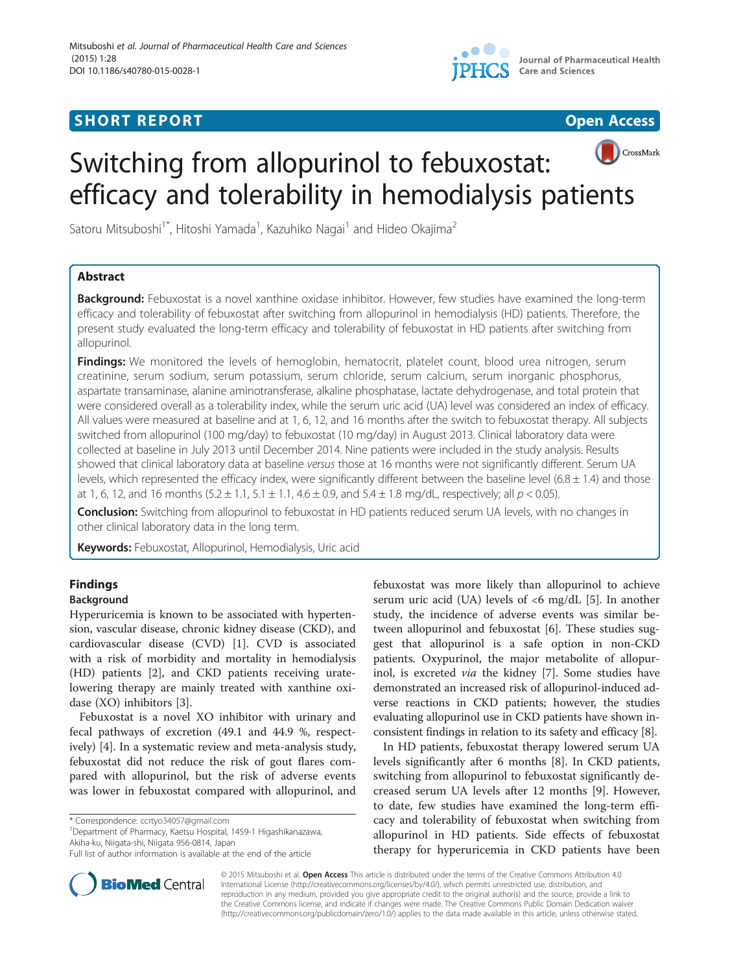# **SHORT REPORT SHORT CONSUMING THE SHORT CONSUMING THE SHORT CONSUMING THE SHORT CONSUMING THE SHORT CONSUMING THE SHORT CONSUMING THE SHORT CONSUMING THE SHORT CONSUMING THE SHORT CONSUMING THE SHORT CONSUMING THE SHORT**





# CrossMark Switching from allopurinol to febuxostat: efficacy and tolerability in hemodialysis patients

Satoru Mitsuboshi<sup>1\*</sup>, Hitoshi Yamada<sup>1</sup>, Kazuhiko Nagai<sup>1</sup> and Hideo Okajima<sup>2</sup>

# Abstract

Background: Febuxostat is a novel xanthine oxidase inhibitor. However, few studies have examined the long-term efficacy and tolerability of febuxostat after switching from allopurinol in hemodialysis (HD) patients. Therefore, the present study evaluated the long-term efficacy and tolerability of febuxostat in HD patients after switching from allopurinol.

Findings: We monitored the levels of hemoglobin, hematocrit, platelet count, blood urea nitrogen, serum creatinine, serum sodium, serum potassium, serum chloride, serum calcium, serum inorganic phosphorus, aspartate transaminase, alanine aminotransferase, alkaline phosphatase, lactate dehydrogenase, and total protein that were considered overall as a tolerability index, while the serum uric acid (UA) level was considered an index of efficacy. All values were measured at baseline and at 1, 6, 12, and 16 months after the switch to febuxostat therapy. All subjects switched from allopurinol (100 mg/day) to febuxostat (10 mg/day) in August 2013. Clinical laboratory data were collected at baseline in July 2013 until December 2014. Nine patients were included in the study analysis. Results showed that clinical laboratory data at baseline versus those at 16 months were not significantly different. Serum UA levels, which represented the efficacy index, were significantly different between the baseline level (6.8  $\pm$  1.4) and those at 1, 6, 12, and 16 months  $(5.2 \pm 1.1, 5.1 \pm 1.1, 4.6 \pm 0.9,$  and  $5.4 \pm 1.8$  mg/dL, respectively; all  $p < 0.05$ ).

Conclusion: Switching from allopurinol to febuxostat in HD patients reduced serum UA levels, with no changes in other clinical laboratory data in the long term.

Keywords: Febuxostat, Allopurinol, Hemodialysis, Uric acid

# Findings

# Background

Hyperuricemia is known to be associated with hypertension, vascular disease, chronic kidney disease (CKD), and cardiovascular disease (CVD) [[1\]](#page-3-0). CVD is associated with a risk of morbidity and mortality in hemodialysis (HD) patients [\[2\]](#page-3-0), and CKD patients receiving uratelowering therapy are mainly treated with xanthine oxidase (XO) inhibitors [[3\]](#page-4-0).

Febuxostat is a novel XO inhibitor with urinary and fecal pathways of excretion (49.1 and 44.9 %, respectively) [\[4](#page-4-0)]. In a systematic review and meta-analysis study, febuxostat did not reduce the risk of gout flares compared with allopurinol, but the risk of adverse events was lower in febuxostat compared with allopurinol, and

\* Correspondence: [ccrtyo34057@gmail.com](mailto:ccrtyo34057@gmail.com) <sup>1</sup>

Department of Pharmacy, Kaetsu Hospital, 1459-1 Higashikanazawa, Akiha-ku, Niigata-shi, Niigata 956-0814, Japan



In HD patients, febuxostat therapy lowered serum UA levels significantly after 6 months [[8\]](#page-4-0). In CKD patients, switching from allopurinol to febuxostat significantly decreased serum UA levels after 12 months [\[9](#page-4-0)]. However, to date, few studies have examined the long-term efficacy and tolerability of febuxostat when switching from allopurinol in HD patients. Side effects of febuxostat therapy for hyperuricemia in CKD patients have been



© 2015 Mitsuboshi et al. Open Access This article is distributed under the terms of the Creative Commons Attribution 4.0 International License [\(http://creativecommons.org/licenses/by/4.0/](http://creativecommons.org/licenses/by/4.0/)), which permits unrestricted use, distribution, and reproduction in any medium, provided you give appropriate credit to the original author(s) and the source, provide a link to the Creative Commons license, and indicate if changes were made. The Creative Commons Public Domain Dedication waiver [\(http://creativecommons.org/publicdomain/zero/1.0/](http://creativecommons.org/publicdomain/zero/1.0/)) applies to the data made available in this article, unless otherwise stated.

Full list of author information is available at the end of the article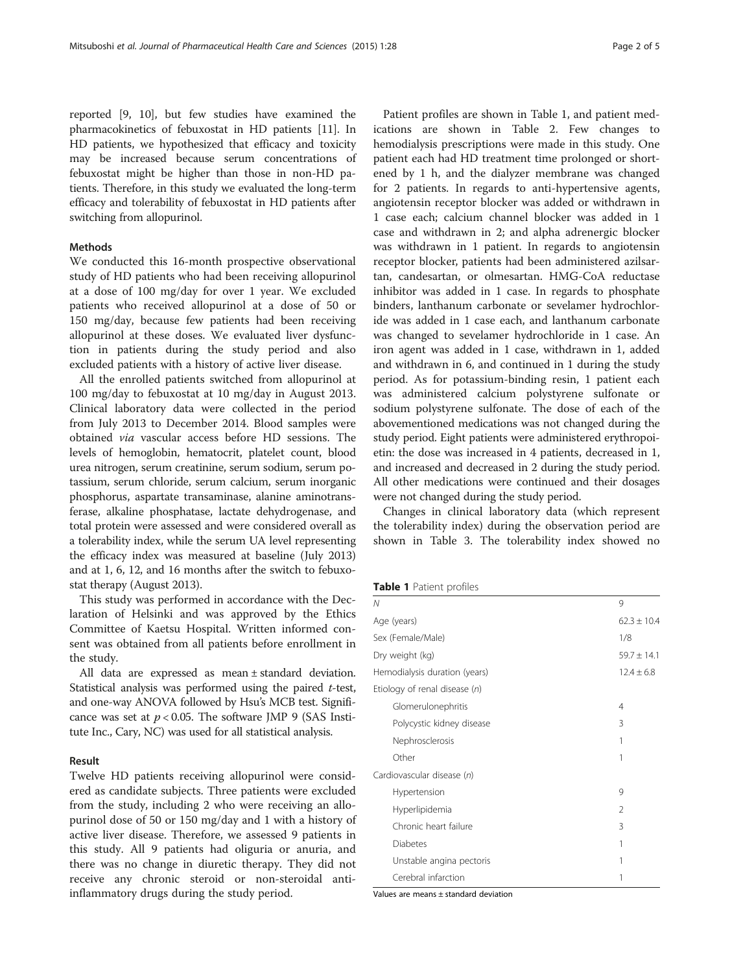reported [\[9](#page-4-0), [10](#page-4-0)], but few studies have examined the pharmacokinetics of febuxostat in HD patients [\[11\]](#page-4-0). In HD patients, we hypothesized that efficacy and toxicity may be increased because serum concentrations of febuxostat might be higher than those in non-HD patients. Therefore, in this study we evaluated the long-term efficacy and tolerability of febuxostat in HD patients after switching from allopurinol.

## Methods

We conducted this 16-month prospective observational study of HD patients who had been receiving allopurinol at a dose of 100 mg/day for over 1 year. We excluded patients who received allopurinol at a dose of 50 or 150 mg/day, because few patients had been receiving allopurinol at these doses. We evaluated liver dysfunction in patients during the study period and also excluded patients with a history of active liver disease.

All the enrolled patients switched from allopurinol at 100 mg/day to febuxostat at 10 mg/day in August 2013. Clinical laboratory data were collected in the period from July 2013 to December 2014. Blood samples were obtained via vascular access before HD sessions. The levels of hemoglobin, hematocrit, platelet count, blood urea nitrogen, serum creatinine, serum sodium, serum potassium, serum chloride, serum calcium, serum inorganic phosphorus, aspartate transaminase, alanine aminotransferase, alkaline phosphatase, lactate dehydrogenase, and total protein were assessed and were considered overall as a tolerability index, while the serum UA level representing the efficacy index was measured at baseline (July 2013) and at 1, 6, 12, and 16 months after the switch to febuxostat therapy (August 2013).

This study was performed in accordance with the Declaration of Helsinki and was approved by the Ethics Committee of Kaetsu Hospital. Written informed consent was obtained from all patients before enrollment in the study.

All data are expressed as mean ± standard deviation. Statistical analysis was performed using the paired t-test, and one-way ANOVA followed by Hsu's MCB test. Significance was set at  $p < 0.05$ . The software JMP 9 (SAS Institute Inc., Cary, NC) was used for all statistical analysis.

### Result

Twelve HD patients receiving allopurinol were considered as candidate subjects. Three patients were excluded from the study, including 2 who were receiving an allopurinol dose of 50 or 150 mg/day and 1 with a history of active liver disease. Therefore, we assessed 9 patients in this study. All 9 patients had oliguria or anuria, and there was no change in diuretic therapy. They did not receive any chronic steroid or non-steroidal antiinflammatory drugs during the study period.

Patient profiles are shown in Table 1, and patient medications are shown in Table [2](#page-2-0). Few changes to hemodialysis prescriptions were made in this study. One patient each had HD treatment time prolonged or shortened by 1 h, and the dialyzer membrane was changed for 2 patients. In regards to anti-hypertensive agents, angiotensin receptor blocker was added or withdrawn in 1 case each; calcium channel blocker was added in 1 case and withdrawn in 2; and alpha adrenergic blocker was withdrawn in 1 patient. In regards to angiotensin receptor blocker, patients had been administered azilsartan, candesartan, or olmesartan. HMG-CoA reductase inhibitor was added in 1 case. In regards to phosphate binders, lanthanum carbonate or sevelamer hydrochloride was added in 1 case each, and lanthanum carbonate was changed to sevelamer hydrochloride in 1 case. An iron agent was added in 1 case, withdrawn in 1, added and withdrawn in 6, and continued in 1 during the study period. As for potassium-binding resin, 1 patient each was administered calcium polystyrene sulfonate or sodium polystyrene sulfonate. The dose of each of the abovementioned medications was not changed during the study period. Eight patients were administered erythropoietin: the dose was increased in 4 patients, decreased in 1, and increased and decreased in 2 during the study period. All other medications were continued and their dosages were not changed during the study period.

Changes in clinical laboratory data (which represent the tolerability index) during the observation period are shown in Table [3.](#page-2-0) The tolerability index showed no

### Table 1 Patient profiles

| 9               |
|-----------------|
| $62.3 + 10.4$   |
| 1/8             |
| $59.7 \pm 14.1$ |
| $12.4 \pm 6.8$  |
|                 |
| 4               |
| 3               |
| 1               |
| 1               |
|                 |
| 9               |
| $\mathfrak{D}$  |
| 3               |
| 1               |
| 1               |
| 1               |
|                 |

Values are means ± standard deviation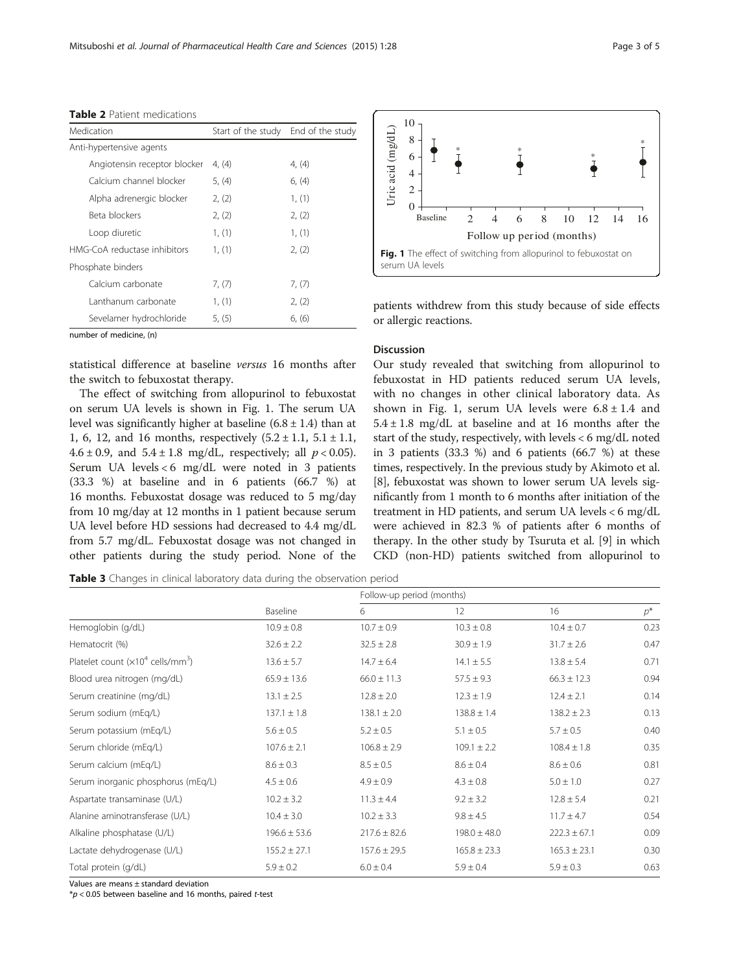| Medication                   | Start of the study End of the study |        |
|------------------------------|-------------------------------------|--------|
| Anti-hypertensive agents     |                                     |        |
| Angiotensin receptor blocker | 4, (4)                              | 4, (4) |
| Calcium channel blocker      | 5, (4)                              | 6, (4) |
| Alpha adrenergic blocker     | 2, (2)                              | 1, (1) |
| Beta blockers                | 2, (2)                              | 2, (2) |
| Loop diuretic                | 1, (1)                              | 1, (1) |
| HMG-CoA reductase inhibitors | 1, (1)                              | 2, (2) |
| Phosphate binders            |                                     |        |
| Calcium carbonate            | 7, (7)                              | 7, (7) |
| Lanthanum carbonate          | 1, (1)                              | 2, (2) |
| Sevelamer hydrochloride      | 5, (5)                              | 6, (6) |

<span id="page-2-0"></span>Table 2 Patient medications

number of medicine, (n)

statistical difference at baseline versus 16 months after the switch to febuxostat therapy.

The effect of switching from allopurinol to febuxostat on serum UA levels is shown in Fig. 1. The serum UA level was significantly higher at baseline  $(6.8 \pm 1.4)$  than at 1, 6, 12, and 16 months, respectively  $(5.2 \pm 1.1, 5.1 \pm 1.1,$ 4.6 ± 0.9, and  $5.4 \pm 1.8$  mg/dL, respectively; all  $p < 0.05$ ). Serum UA levels < 6 mg/dL were noted in 3 patients (33.3 %) at baseline and in 6 patients (66.7 %) at 16 months. Febuxostat dosage was reduced to 5 mg/day from 10 mg/day at 12 months in 1 patient because serum UA level before HD sessions had decreased to 4.4 mg/dL from 5.7 mg/dL. Febuxostat dosage was not changed in other patients during the study period. None of the



patients withdrew from this study because of side effects or allergic reactions.

### Discussion

Our study revealed that switching from allopurinol to febuxostat in HD patients reduced serum UA levels, with no changes in other clinical laboratory data. As shown in Fig. 1, serum UA levels were  $6.8 \pm 1.4$  and  $5.4 \pm 1.8$  mg/dL at baseline and at 16 months after the start of the study, respectively, with levels < 6 mg/dL noted in 3 patients (33.3 %) and 6 patients (66.7 %) at these times, respectively. In the previous study by Akimoto et al. [[8\]](#page-4-0), febuxostat was shown to lower serum UA levels significantly from 1 month to 6 months after initiation of the treatment in HD patients, and serum UA levels < 6 mg/dL were achieved in 82.3 % of patients after 6 months of therapy. In the other study by Tsuruta et al. [[9\]](#page-4-0) in which CKD (non-HD) patients switched from allopurinol to

Table 3 Changes in clinical laboratory data during the observation period

|                                             | Baseline         | Follow-up period (months) |                   |                  |       |
|---------------------------------------------|------------------|---------------------------|-------------------|------------------|-------|
|                                             |                  | 6                         | $12 \overline{ }$ | 16               | $p^*$ |
| Hemoglobin (g/dL)                           | $10.9 \pm 0.8$   | $10.7 \pm 0.9$            | $10.3 \pm 0.8$    | $10.4 \pm 0.7$   | 0.23  |
| Hematocrit (%)                              | $32.6 \pm 2.2$   | $32.5 \pm 2.8$            | $30.9 \pm 1.9$    | $31.7 \pm 2.6$   | 0.47  |
| Platelet count $(x10^4 \text{ cells/mm}^3)$ | $13.6 \pm 5.7$   | $14.7 \pm 6.4$            | $14.1 \pm 5.5$    | $13.8 \pm 5.4$   | 0.71  |
| Blood urea nitrogen (mg/dL)                 | $65.9 \pm 13.6$  | $66.0 \pm 11.3$           | $57.5 \pm 9.3$    | $66.3 \pm 12.3$  | 0.94  |
| Serum creatinine (mg/dL)                    | $13.1 \pm 2.5$   | $12.8 \pm 2.0$            | $12.3 \pm 1.9$    | $12.4 \pm 2.1$   | 0.14  |
| Serum sodium (mEq/L)                        | $137.1 \pm 1.8$  | $138.1 \pm 2.0$           | $138.8 \pm 1.4$   | $138.2 \pm 2.3$  | 0.13  |
| Serum potassium (mEq/L)                     | $5.6 \pm 0.5$    | $5.2 \pm 0.5$             | $5.1 \pm 0.5$     | $5.7 \pm 0.5$    | 0.40  |
| Serum chloride (mEq/L)                      | $107.6 \pm 2.1$  | $106.8 \pm 2.9$           | $109.1 \pm 2.2$   | $108.4 \pm 1.8$  | 0.35  |
| Serum calcium (mEg/L)                       | $8.6 \pm 0.3$    | $8.5 \pm 0.5$             | $8.6 \pm 0.4$     | $8.6 \pm 0.6$    | 0.81  |
| Serum inorganic phosphorus (mEq/L)          | $4.5 \pm 0.6$    | $4.9 \pm 0.9$             | $4.3 \pm 0.8$     | $5.0 \pm 1.0$    | 0.27  |
| Aspartate transaminase (U/L)                | $10.2 \pm 3.2$   | $11.3 \pm 4.4$            | $9.2 \pm 3.2$     | $12.8 \pm 5.4$   | 0.21  |
| Alanine aminotransferase (U/L)              | $10.4 \pm 3.0$   | $10.2 \pm 3.3$            | $9.8 \pm 4.5$     | $11.7 \pm 4.7$   | 0.54  |
| Alkaline phosphatase (U/L)                  | $196.6 \pm 53.6$ | $217.6 \pm 82.6$          | $198.0 \pm 48.0$  | $222.3 \pm 67.1$ | 0.09  |
| Lactate dehydrogenase (U/L)                 | $155.2 \pm 27.1$ | $157.6 \pm 29.5$          | $165.8 \pm 23.3$  | $165.3 \pm 23.1$ | 0.30  |
| Total protein (g/dL)                        | $5.9 \pm 0.2$    | $6.0 \pm 0.4$             | $5.9 \pm 0.4$     | $5.9 \pm 0.3$    | 0.63  |

Values are means ± standard deviation

 $*p$  < 0.05 between baseline and 16 months, paired t-test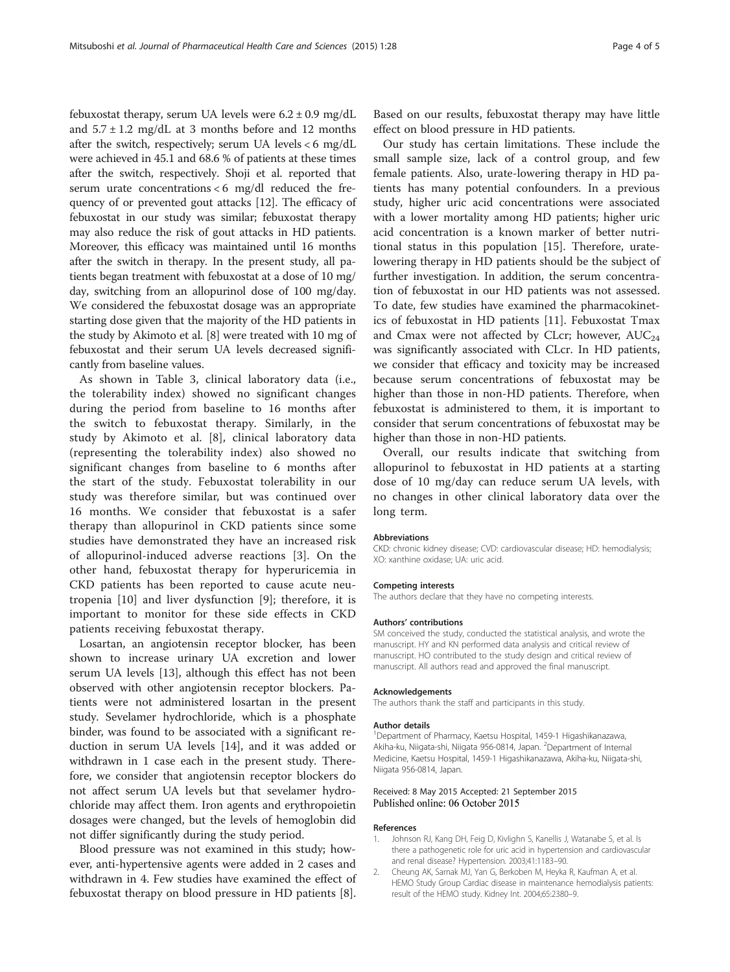<span id="page-3-0"></span>febuxostat therapy, serum UA levels were  $6.2 \pm 0.9$  mg/dL and  $5.7 \pm 1.2$  mg/dL at 3 months before and 12 months after the switch, respectively; serum UA levels < 6 mg/dL were achieved in 45.1 and 68.6 % of patients at these times after the switch, respectively. Shoji et al. reported that serum urate concentrations  $<$  6 mg/dl reduced the frequency of or prevented gout attacks [[12](#page-4-0)]. The efficacy of febuxostat in our study was similar; febuxostat therapy may also reduce the risk of gout attacks in HD patients. Moreover, this efficacy was maintained until 16 months after the switch in therapy. In the present study, all patients began treatment with febuxostat at a dose of 10 mg/ day, switching from an allopurinol dose of 100 mg/day. We considered the febuxostat dosage was an appropriate starting dose given that the majority of the HD patients in the study by Akimoto et al. [\[8](#page-4-0)] were treated with 10 mg of febuxostat and their serum UA levels decreased significantly from baseline values.

As shown in Table [3,](#page-2-0) clinical laboratory data (i.e., the tolerability index) showed no significant changes during the period from baseline to 16 months after the switch to febuxostat therapy. Similarly, in the study by Akimoto et al. [[8\]](#page-4-0), clinical laboratory data (representing the tolerability index) also showed no significant changes from baseline to 6 months after the start of the study. Febuxostat tolerability in our study was therefore similar, but was continued over 16 months. We consider that febuxostat is a safer therapy than allopurinol in CKD patients since some studies have demonstrated they have an increased risk of allopurinol-induced adverse reactions [\[3](#page-4-0)]. On the other hand, febuxostat therapy for hyperuricemia in CKD patients has been reported to cause acute neutropenia [[10\]](#page-4-0) and liver dysfunction [[9\]](#page-4-0); therefore, it is important to monitor for these side effects in CKD patients receiving febuxostat therapy.

Losartan, an angiotensin receptor blocker, has been shown to increase urinary UA excretion and lower serum UA levels [[13\]](#page-4-0), although this effect has not been observed with other angiotensin receptor blockers. Patients were not administered losartan in the present study. Sevelamer hydrochloride, which is a phosphate binder, was found to be associated with a significant reduction in serum UA levels [\[14](#page-4-0)], and it was added or withdrawn in 1 case each in the present study. Therefore, we consider that angiotensin receptor blockers do not affect serum UA levels but that sevelamer hydrochloride may affect them. Iron agents and erythropoietin dosages were changed, but the levels of hemoglobin did not differ significantly during the study period.

Blood pressure was not examined in this study; however, anti-hypertensive agents were added in 2 cases and withdrawn in 4. Few studies have examined the effect of febuxostat therapy on blood pressure in HD patients [\[8](#page-4-0)].

Based on our results, febuxostat therapy may have little effect on blood pressure in HD patients.

Our study has certain limitations. These include the small sample size, lack of a control group, and few female patients. Also, urate-lowering therapy in HD patients has many potential confounders. In a previous study, higher uric acid concentrations were associated with a lower mortality among HD patients; higher uric acid concentration is a known marker of better nutritional status in this population [[15](#page-4-0)]. Therefore, uratelowering therapy in HD patients should be the subject of further investigation. In addition, the serum concentration of febuxostat in our HD patients was not assessed. To date, few studies have examined the pharmacokinetics of febuxostat in HD patients [\[11\]](#page-4-0). Febuxostat Tmax and Cmax were not affected by CLcr; however,  $AUC_{24}$ was significantly associated with CLcr. In HD patients, we consider that efficacy and toxicity may be increased because serum concentrations of febuxostat may be higher than those in non-HD patients. Therefore, when febuxostat is administered to them, it is important to consider that serum concentrations of febuxostat may be higher than those in non-HD patients.

Overall, our results indicate that switching from allopurinol to febuxostat in HD patients at a starting dose of 10 mg/day can reduce serum UA levels, with no changes in other clinical laboratory data over the long term.

#### Abbreviations

CKD: chronic kidney disease; CVD: cardiovascular disease; HD: hemodialysis; XO: xanthine oxidase; UA: uric acid.

#### Competing interests

The authors declare that they have no competing interests.

#### Authors' contributions

SM conceived the study, conducted the statistical analysis, and wrote the manuscript. HY and KN performed data analysis and critical review of manuscript. HO contributed to the study design and critical review of manuscript. All authors read and approved the final manuscript.

#### Acknowledgements

The authors thank the staff and participants in this study.

#### Author details

1 Department of Pharmacy, Kaetsu Hospital, 1459-1 Higashikanazawa, Akiha-ku, Niigata-shi, Niigata 956-0814, Japan. <sup>2</sup>Department of Internal Medicine, Kaetsu Hospital, 1459-1 Higashikanazawa, Akiha-ku, Niigata-shi, Niigata 956-0814, Japan.

#### Received: 8 May 2015 Accepted: 21 September 2015 Published online: 06 October 2015

#### References

- 1. Johnson RJ, Kang DH, Feig D, Kivlighn S, Kanellis J, Watanabe S, et al. Is there a pathogenetic role for uric acid in hypertension and cardiovascular and renal disease? Hypertension. 2003;41:1183–90.
- 2. Cheung AK, Sarnak MJ, Yan G, Berkoben M, Heyka R, Kaufman A, et al. HEMO Study Group Cardiac disease in maintenance hemodialysis patients: result of the HEMO study. Kidney Int. 2004;65:2380–9.